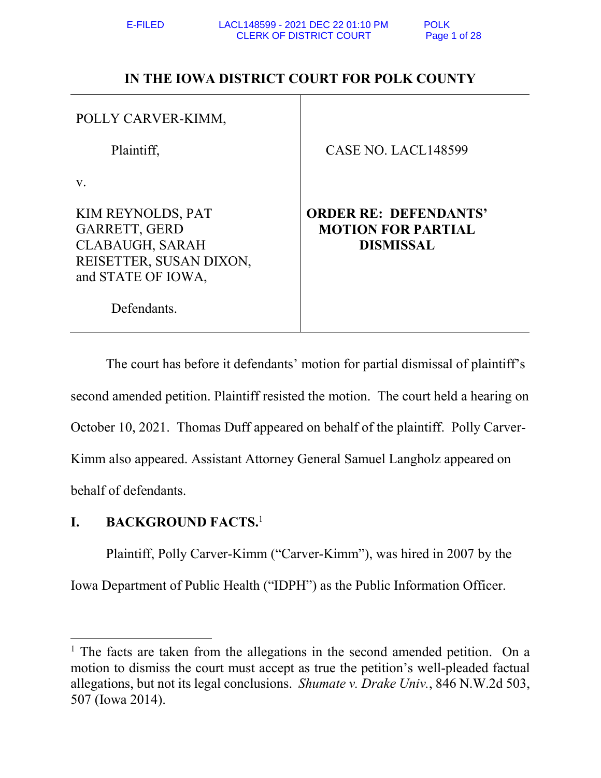Defendants.

## **IN THE IOWA DISTRICT COURT FOR POLK COUNTY**

| POLLY CARVER-KIMM,                                                                                            |                                                                               |
|---------------------------------------------------------------------------------------------------------------|-------------------------------------------------------------------------------|
| Plaintiff,                                                                                                    | CASE NO. LACL148599                                                           |
| $V_{\rm A}$                                                                                                   |                                                                               |
| KIM REYNOLDS, PAT<br>GARRETT, GERD<br><b>CLABAUGH, SARAH</b><br>REISETTER, SUSAN DIXON,<br>and STATE OF IOWA, | <b>ORDER RE: DEFENDANTS'</b><br><b>MOTION FOR PARTIAL</b><br><b>DISMISSAL</b> |

The court has before it defendants' motion for partial dismissal of plaintiff's second amended petition. Plaintiff resisted the motion. The court held a hearing on October 10, 2021. Thomas Duff appeared on behalf of the plaintiff. Polly Carver-Kimm also appeared. Assistant Attorney General Samuel Langholz appeared on behalf of defendants.

## **I. BACKGROUND FACTS.**<sup>1</sup>

 $\overline{a}$ 

Plaintiff, Polly Carver-Kimm ("Carver-Kimm"), was hired in 2007 by the

Iowa Department of Public Health ("IDPH") as the Public Information Officer.

<sup>&</sup>lt;sup>1</sup> The facts are taken from the allegations in the second amended petition. On a motion to dismiss the court must accept as true the petition's well-pleaded factual allegations, but not its legal conclusions. *Shumate v. Drake Univ.*, 846 N.W.2d 503, 507 (Iowa 2014).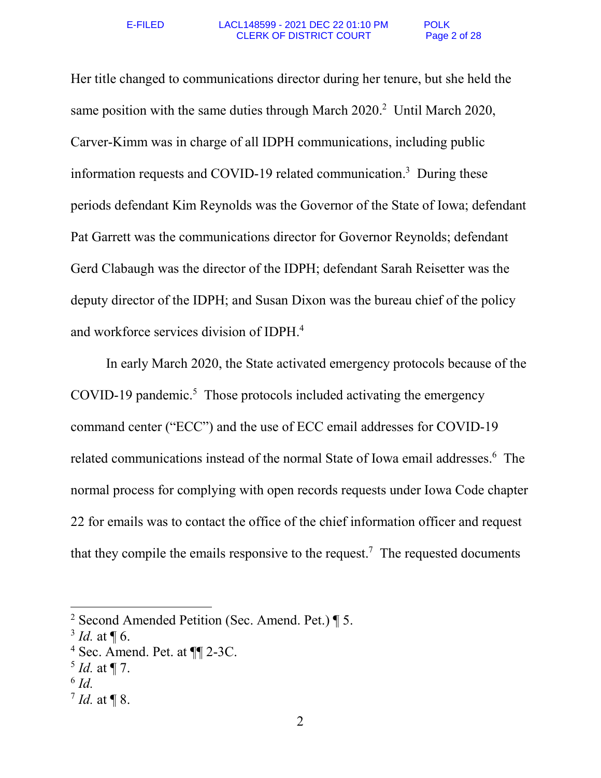Her title changed to communications director during her tenure, but she held the same position with the same duties through March 2020.<sup>2</sup> Until March 2020, Carver-Kimm was in charge of all IDPH communications, including public information requests and COVID-19 related communication.<sup>3</sup> During these periods defendant Kim Reynolds was the Governor of the State of Iowa; defendant Pat Garrett was the communications director for Governor Reynolds; defendant Gerd Clabaugh was the director of the IDPH; defendant Sarah Reisetter was the deputy director of the IDPH; and Susan Dixon was the bureau chief of the policy and workforce services division of IDPH.<sup>4</sup>

In early March 2020, the State activated emergency protocols because of the COVID-19 pandemic.<sup>5</sup> Those protocols included activating the emergency command center ("ECC") and the use of ECC email addresses for COVID-19 related communications instead of the normal State of Iowa email addresses.<sup>6</sup> The normal process for complying with open records requests under Iowa Code chapter 22 for emails was to contact the office of the chief information officer and request that they compile the emails responsive to the request.<sup>7</sup> The requested documents

<sup>&</sup>lt;sup>2</sup> Second Amended Petition (Sec. Amend. Pet.)  $\P$  5.

 $3$  *Id.* at  $\P$  6.

<sup>&</sup>lt;sup>4</sup> Sec. Amend. Pet. at  $\P$  2-3C.

<sup>5</sup> *Id.* at ¶ 7.

<sup>6</sup> *Id.* 

 $^7$  *Id.* at  $\P$  8.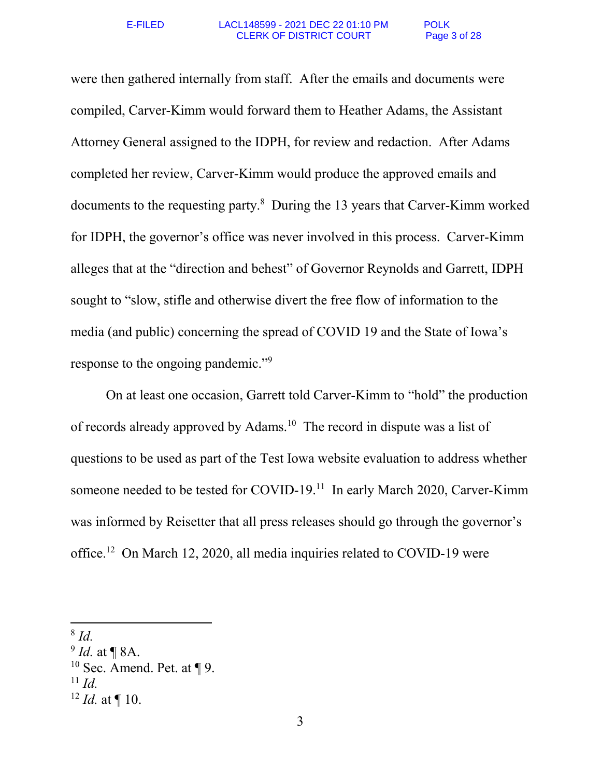were then gathered internally from staff. After the emails and documents were compiled, Carver-Kimm would forward them to Heather Adams, the Assistant Attorney General assigned to the IDPH, for review and redaction. After Adams completed her review, Carver-Kimm would produce the approved emails and documents to the requesting party.<sup>8</sup> During the 13 years that Carver-Kimm worked for IDPH, the governor's office was never involved in this process. Carver-Kimm alleges that at the "direction and behest" of Governor Reynolds and Garrett, IDPH sought to "slow, stifle and otherwise divert the free flow of information to the media (and public) concerning the spread of COVID 19 and the State of Iowa's response to the ongoing pandemic."<sup>9</sup>

On at least one occasion, Garrett told Carver-Kimm to "hold" the production of records already approved by Adams.<sup>10</sup> The record in dispute was a list of questions to be used as part of the Test Iowa website evaluation to address whether someone needed to be tested for COVID-19.<sup>11</sup> In early March 2020, Carver-Kimm was informed by Reisetter that all press releases should go through the governor's office.<sup>12</sup> On March 12, 2020, all media inquiries related to COVID-19 were

<sup>8</sup> *Id.* 

<sup>9</sup> *Id.* at ¶ 8A.

 $10$  Sec. Amend. Pet. at ¶ 9.

 $11$  *Id.* 

 $12$  *Id.* at ¶ 10.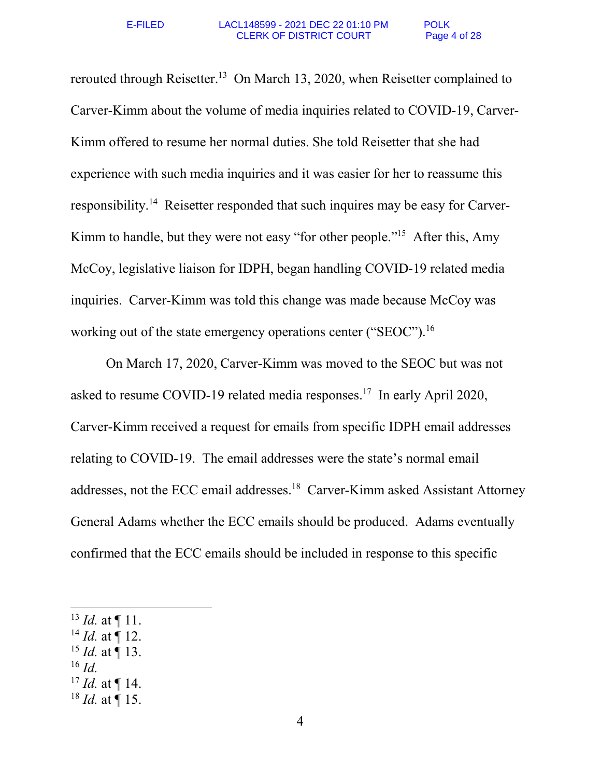rerouted through Reisetter.<sup>13</sup> On March 13, 2020, when Reisetter complained to Carver-Kimm about the volume of media inquiries related to COVID-19, Carver-Kimm offered to resume her normal duties. She told Reisetter that she had experience with such media inquiries and it was easier for her to reassume this responsibility.14 Reisetter responded that such inquires may be easy for Carver-Kimm to handle, but they were not easy "for other people."<sup>15</sup> After this, Amy McCoy, legislative liaison for IDPH, began handling COVID-19 related media inquiries. Carver-Kimm was told this change was made because McCoy was working out of the state emergency operations center ("SEOC").<sup>16</sup>

On March 17, 2020, Carver-Kimm was moved to the SEOC but was not asked to resume COVID-19 related media responses.<sup>17</sup> In early April 2020, Carver-Kimm received a request for emails from specific IDPH email addresses relating to COVID-19. The email addresses were the state's normal email addresses, not the ECC email addresses.<sup>18</sup> Carver-Kimm asked Assistant Attorney General Adams whether the ECC emails should be produced. Adams eventually confirmed that the ECC emails should be included in response to this specific

- <sup>14</sup> *Id.* at ¶ 12.
- <sup>15</sup> *Id.* at ¶ 13.
- $^{16}$  *Id.*

- $17$  *Id.* at ¶ 14.
- $18$  *Id.* at  $\P$  15.

<sup>13</sup> *Id.* at ¶ 11.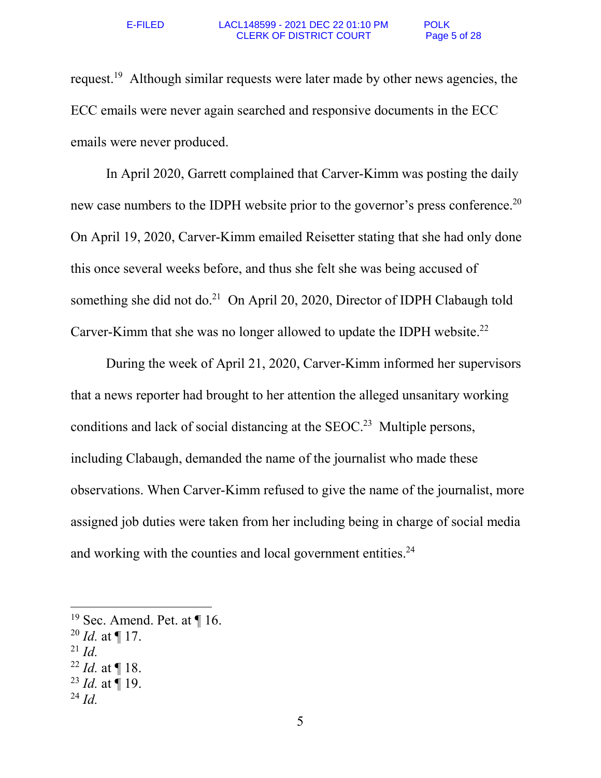request.<sup>19</sup> Although similar requests were later made by other news agencies, the ECC emails were never again searched and responsive documents in the ECC emails were never produced.

In April 2020, Garrett complained that Carver-Kimm was posting the daily new case numbers to the IDPH website prior to the governor's press conference.<sup>20</sup> On April 19, 2020, Carver-Kimm emailed Reisetter stating that she had only done this once several weeks before, and thus she felt she was being accused of something she did not do.<sup>21</sup> On April 20, 2020, Director of IDPH Clabaugh told Carver-Kimm that she was no longer allowed to update the IDPH website.<sup>22</sup>

During the week of April 21, 2020, Carver-Kimm informed her supervisors that a news reporter had brought to her attention the alleged unsanitary working conditions and lack of social distancing at the SEOC.<sup>23</sup> Multiple persons, including Clabaugh, demanded the name of the journalist who made these observations. When Carver-Kimm refused to give the name of the journalist, more assigned job duties were taken from her including being in charge of social media and working with the counties and local government entities.<sup>24</sup>

 $^{21}$  *Id.* 

<sup>&</sup>lt;sup>19</sup> Sec. Amend. Pet. at  $\P$  16.

<sup>20</sup> *Id.* at ¶ 17.

 $^{22}$  *Id.* at  $\P$  18.

 $^{23}$  *Id.* at ¶ 19.

 $^{24}$  *Id.*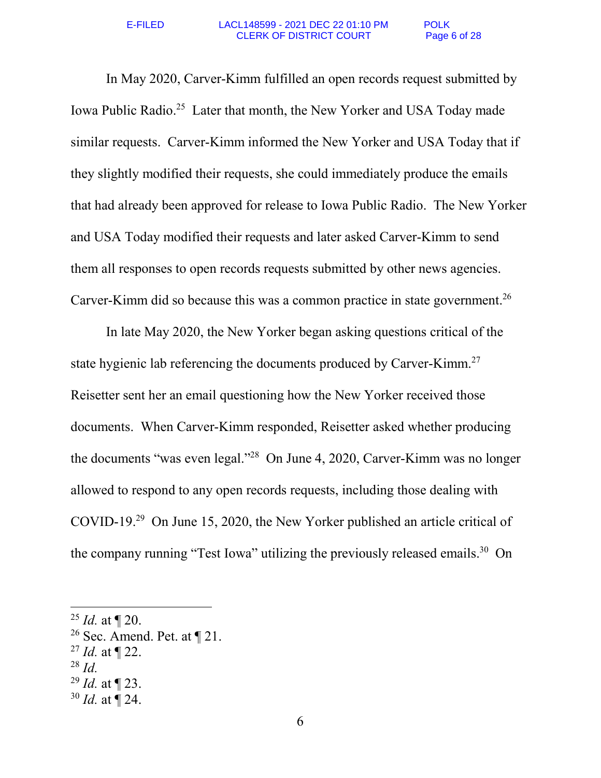In May 2020, Carver-Kimm fulfilled an open records request submitted by Iowa Public Radio.<sup>25</sup> Later that month, the New Yorker and USA Today made similar requests. Carver-Kimm informed the New Yorker and USA Today that if they slightly modified their requests, she could immediately produce the emails that had already been approved for release to Iowa Public Radio. The New Yorker and USA Today modified their requests and later asked Carver-Kimm to send them all responses to open records requests submitted by other news agencies. Carver-Kimm did so because this was a common practice in state government.<sup>26</sup>

In late May 2020, the New Yorker began asking questions critical of the state hygienic lab referencing the documents produced by Carver-Kimm.<sup>27</sup> Reisetter sent her an email questioning how the New Yorker received those documents. When Carver-Kimm responded, Reisetter asked whether producing the documents "was even legal."<sup>28</sup> On June 4, 2020, Carver-Kimm was no longer allowed to respond to any open records requests, including those dealing with COVID-19.<sup>29</sup> On June 15, 2020, the New Yorker published an article critical of the company running "Test Iowa" utilizing the previously released emails.<sup>30</sup> On

- <sup>27</sup> *Id.* at ¶ 22.
- <sup>28</sup> *Id.*

- <sup>29</sup> *Id.* at ¶ 23.
- <sup>30</sup> *Id.* at ¶ 24.

<sup>25</sup> *Id.* at ¶ 20.

<sup>&</sup>lt;sup>26</sup> Sec. Amend. Pet. at  $\P$  21.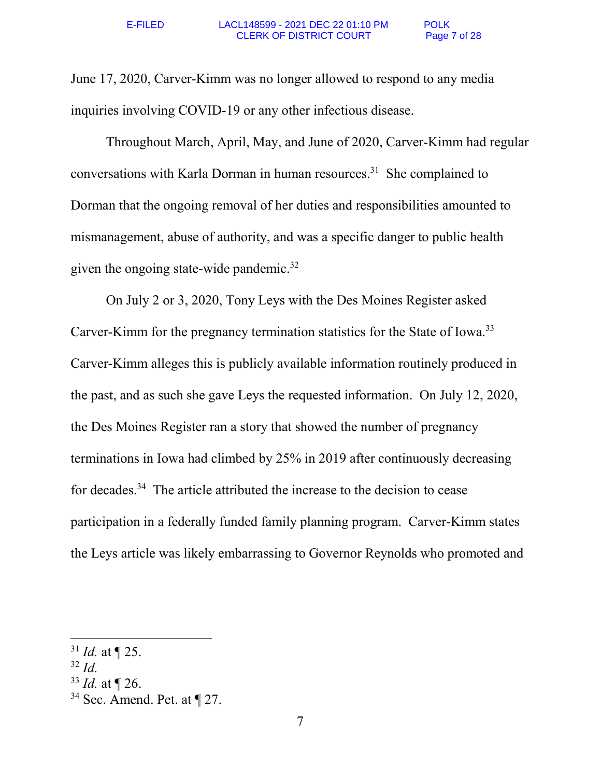June 17, 2020, Carver-Kimm was no longer allowed to respond to any media inquiries involving COVID-19 or any other infectious disease.

Throughout March, April, May, and June of 2020, Carver-Kimm had regular conversations with Karla Dorman in human resources.<sup>31</sup> She complained to Dorman that the ongoing removal of her duties and responsibilities amounted to mismanagement, abuse of authority, and was a specific danger to public health given the ongoing state-wide pandemic.<sup>32</sup>

On July 2 or 3, 2020, Tony Leys with the Des Moines Register asked Carver-Kimm for the pregnancy termination statistics for the State of Iowa.<sup>33</sup> Carver-Kimm alleges this is publicly available information routinely produced in the past, and as such she gave Leys the requested information. On July 12, 2020, the Des Moines Register ran a story that showed the number of pregnancy terminations in Iowa had climbed by 25% in 2019 after continuously decreasing for decades.<sup>34</sup> The article attributed the increase to the decision to cease participation in a federally funded family planning program. Carver-Kimm states the Leys article was likely embarrassing to Governor Reynolds who promoted and

 $32$  *Id.* 

<sup>31</sup> *Id.* at ¶ 25.

<sup>33</sup> *Id.* at ¶ 26.

 $34$  Sec. Amend. Pet. at  $\P$  27.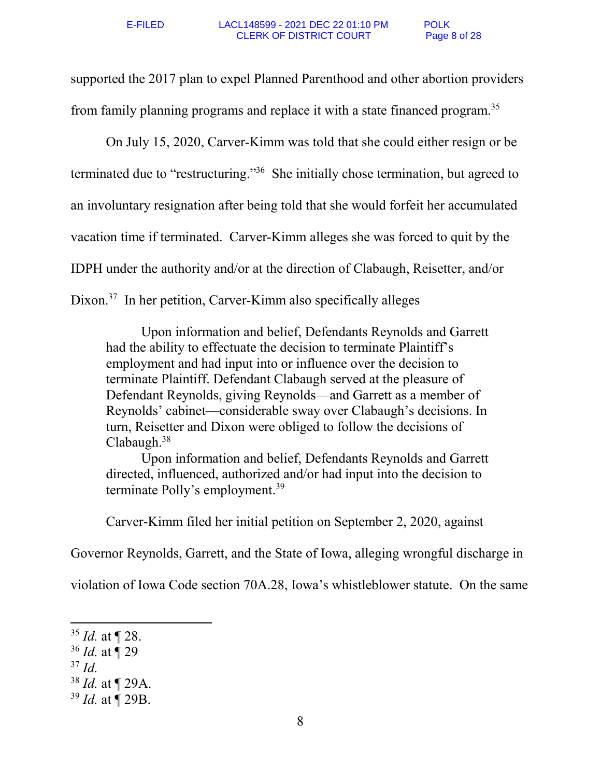supported the 2017 plan to expel Planned Parenthood and other abortion providers from family planning programs and replace it with a state financed program.<sup>35</sup>

On July 15, 2020, Carver-Kimm was told that she could either resign or be terminated due to "restructuring."<sup>36</sup> She initially chose termination, but agreed to an involuntary resignation after being told that she would forfeit her accumulated vacation time if terminated. Carver-Kimm alleges she was forced to quit by the IDPH under the authority and/or at the direction of Clabaugh, Reisetter, and/or Dixon.<sup>37</sup> In her petition, Carver-Kimm also specifically alleges

Upon information and belief, Defendants Reynolds and Garrett had the ability to effectuate the decision to terminate Plaintiff's employment and had input into or influence over the decision to terminate Plaintiff. Defendant Clabaugh served at the pleasure of Defendant Reynolds, giving Reynolds—and Garrett as a member of Reynolds' cabinet—considerable sway over Clabaugh's decisions. In turn, Reisetter and Dixon were obliged to follow the decisions of Clabaugh.<sup>38</sup>

Upon information and belief, Defendants Reynolds and Garrett directed, influenced, authorized and/or had input into the decision to terminate Polly's employment.<sup>39</sup>

Carver-Kimm filed her initial petition on September 2, 2020, against

Governor Reynolds, Garrett, and the State of Iowa, alleging wrongful discharge in

violation of Iowa Code section 70A.28, Iowa's whistleblower statute. On the same

 $37$  *Id.* 

 $\overline{a}$ 

<sup>38</sup> *Id.* at ¶ 29A.

<sup>35</sup> *Id.* at ¶ 28.

<sup>36</sup> *Id.* at ¶ 29

<sup>39</sup> *Id.* at ¶ 29B.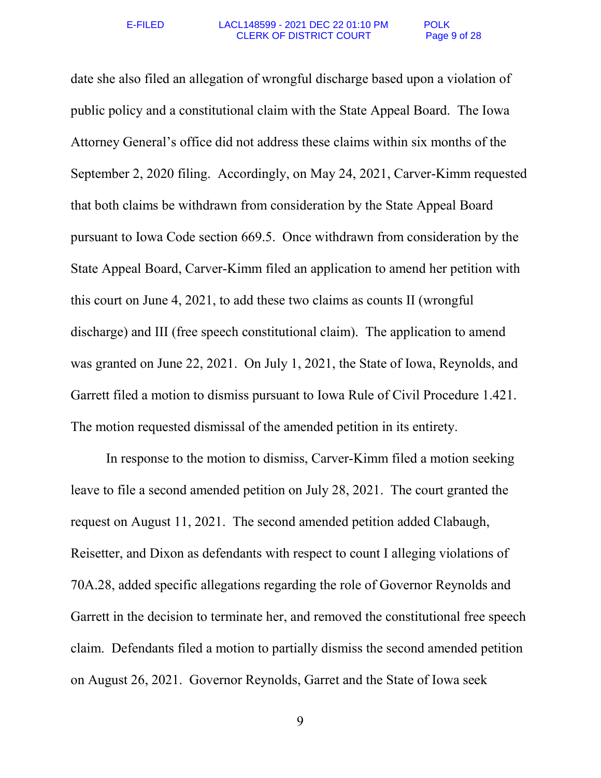date she also filed an allegation of wrongful discharge based upon a violation of public policy and a constitutional claim with the State Appeal Board. The Iowa Attorney General's office did not address these claims within six months of the September 2, 2020 filing. Accordingly, on May 24, 2021, Carver-Kimm requested that both claims be withdrawn from consideration by the State Appeal Board pursuant to Iowa Code section 669.5. Once withdrawn from consideration by the State Appeal Board, Carver-Kimm filed an application to amend her petition with this court on June 4, 2021, to add these two claims as counts II (wrongful discharge) and III (free speech constitutional claim). The application to amend was granted on June 22, 2021. On July 1, 2021, the State of Iowa, Reynolds, and Garrett filed a motion to dismiss pursuant to Iowa Rule of Civil Procedure 1.421. The motion requested dismissal of the amended petition in its entirety.

In response to the motion to dismiss, Carver-Kimm filed a motion seeking leave to file a second amended petition on July 28, 2021. The court granted the request on August 11, 2021. The second amended petition added Clabaugh, Reisetter, and Dixon as defendants with respect to count I alleging violations of 70A.28, added specific allegations regarding the role of Governor Reynolds and Garrett in the decision to terminate her, and removed the constitutional free speech claim. Defendants filed a motion to partially dismiss the second amended petition on August 26, 2021. Governor Reynolds, Garret and the State of Iowa seek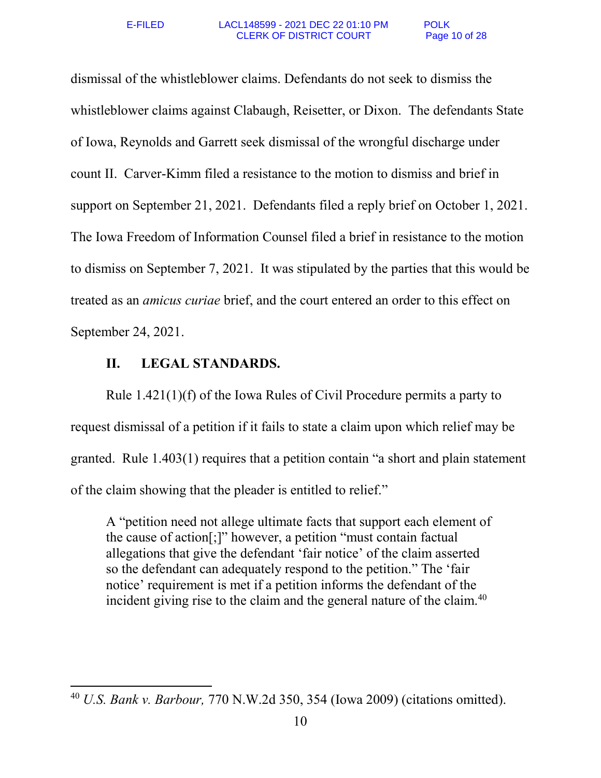dismissal of the whistleblower claims. Defendants do not seek to dismiss the whistleblower claims against Clabaugh, Reisetter, or Dixon. The defendants State of Iowa, Reynolds and Garrett seek dismissal of the wrongful discharge under count II. Carver-Kimm filed a resistance to the motion to dismiss and brief in support on September 21, 2021. Defendants filed a reply brief on October 1, 2021. The Iowa Freedom of Information Counsel filed a brief in resistance to the motion to dismiss on September 7, 2021. It was stipulated by the parties that this would be treated as an *amicus curiae* brief, and the court entered an order to this effect on September 24, 2021.

### **II. LEGAL STANDARDS.**

 $\overline{a}$ 

Rule 1.421(1)(f) of the Iowa Rules of Civil Procedure permits a party to request dismissal of a petition if it fails to state a claim upon which relief may be granted. Rule 1.403(1) requires that a petition contain "a short and plain statement of the claim showing that the pleader is entitled to relief."

A "petition need not allege ultimate facts that support each element of the cause of action[;]" however, a petition "must contain factual allegations that give the defendant 'fair notice' of the claim asserted so the defendant can adequately respond to the petition." The 'fair notice' requirement is met if a petition informs the defendant of the incident giving rise to the claim and the general nature of the claim.<sup>40</sup>

<sup>40</sup> *U.S. Bank v. Barbour,* 770 N.W.2d 350, 354 (Iowa 2009) (citations omitted).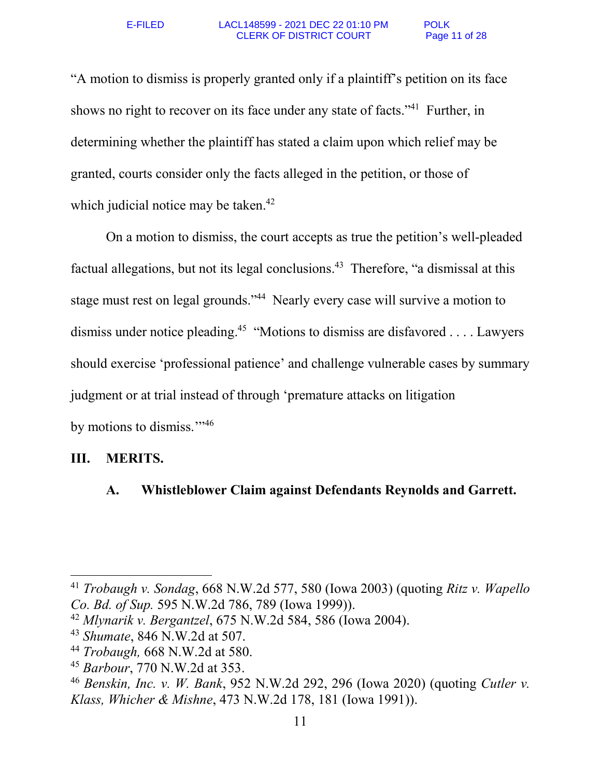"A motion to dismiss is properly granted only if a plaintiff's petition on its face shows no right to recover on its face under any state of facts."<sup>41</sup> Further, in determining whether the plaintiff has stated a claim upon which relief may be granted, courts consider only the facts alleged in the petition, or those of which judicial notice may be taken.<sup>42</sup>

On a motion to dismiss, the court accepts as true the petition's well-pleaded factual allegations, but not its legal conclusions.<sup>43</sup> Therefore, "a dismissal at this stage must rest on legal grounds."<sup>44</sup> Nearly every case will survive a motion to dismiss under notice pleading.<sup>45</sup> "Motions to dismiss are disfavored . . . . Lawyers should exercise 'professional patience' and challenge vulnerable cases by summary judgment or at trial instead of through 'premature attacks on litigation by motions to dismiss."<sup>346</sup>

### **III. MERITS.**

l

# **A. Whistleblower Claim against Defendants Reynolds and Garrett.**

<sup>41</sup> *Trobaugh v. Sondag*, 668 N.W.2d 577, 580 (Iowa 2003) (quoting *Ritz v. Wapello Co. Bd. of Sup.* 595 N.W.2d 786, 789 (Iowa 1999)).

<sup>42</sup> *Mlynarik v. Bergantzel*, 675 N.W.2d 584, 586 (Iowa 2004).

<sup>43</sup> *Shumate*, 846 N.W.2d at 507.

<sup>44</sup> *Trobaugh,* 668 N.W.2d at 580.

<sup>45</sup> *Barbour*, 770 N.W.2d at 353.

<sup>46</sup> *Benskin, Inc. v. W. Bank*, 952 N.W.2d 292, 296 (Iowa 2020) (quoting *Cutler v. Klass, Whicher & Mishne*, 473 N.W.2d 178, 181 (Iowa 1991)).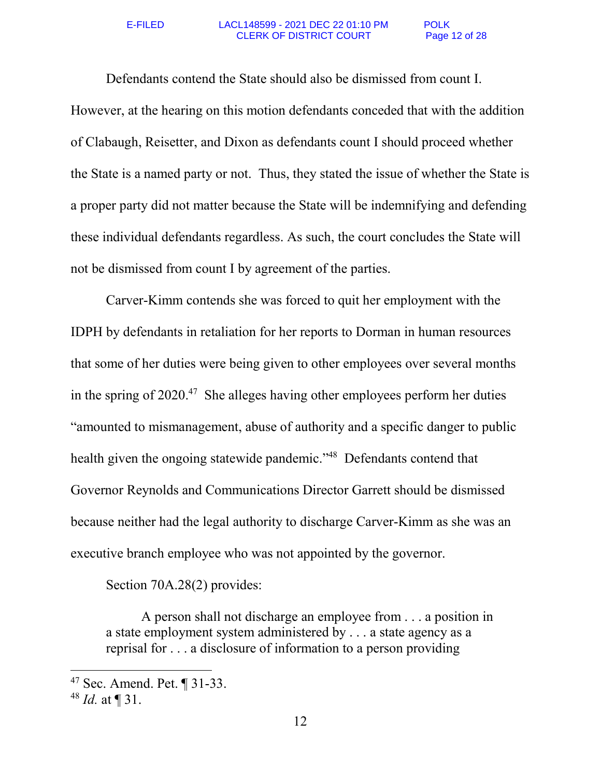Defendants contend the State should also be dismissed from count I. However, at the hearing on this motion defendants conceded that with the addition of Clabaugh, Reisetter, and Dixon as defendants count I should proceed whether the State is a named party or not. Thus, they stated the issue of whether the State is a proper party did not matter because the State will be indemnifying and defending these individual defendants regardless. As such, the court concludes the State will not be dismissed from count I by agreement of the parties.

Carver-Kimm contends she was forced to quit her employment with the IDPH by defendants in retaliation for her reports to Dorman in human resources that some of her duties were being given to other employees over several months in the spring of  $2020<sup>47</sup>$ . She alleges having other employees perform her duties "amounted to mismanagement, abuse of authority and a specific danger to public health given the ongoing statewide pandemic."<sup>48</sup> Defendants contend that Governor Reynolds and Communications Director Garrett should be dismissed because neither had the legal authority to discharge Carver-Kimm as she was an executive branch employee who was not appointed by the governor.

Section 70A.28(2) provides:

A person shall not discharge an employee from . . . a position in a state employment system administered by . . . a state agency as a reprisal for . . . a disclosure of information to a person providing

<sup>47</sup> Sec. Amend. Pet. ¶ 31-33.

<sup>48</sup> *Id.* at ¶ 31.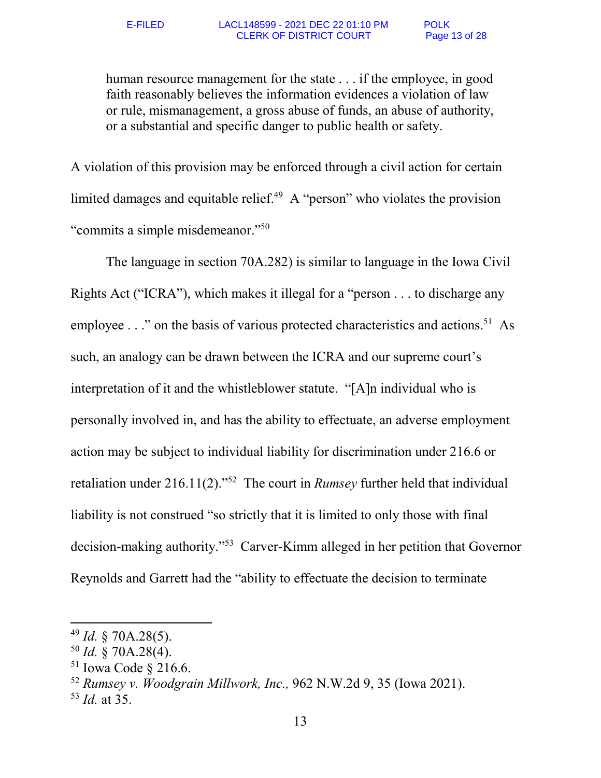human resource management for the state . . . if the employee, in good faith reasonably believes the information evidences a violation of law or rule, mismanagement, a gross abuse of funds, an abuse of authority, or a substantial and specific danger to public health or safety.

A violation of this provision may be enforced through a civil action for certain limited damages and equitable relief.<sup>49</sup> A "person" who violates the provision "commits a simple misdemeanor."<sup>50</sup>

The language in section 70A.282) is similar to language in the Iowa Civil Rights Act ("ICRA"), which makes it illegal for a "person . . . to discharge any employee  $\ldots$ " on the basis of various protected characteristics and actions.<sup>51</sup> As such, an analogy can be drawn between the ICRA and our supreme court's interpretation of it and the whistleblower statute. "[A]n individual who is personally involved in, and has the ability to effectuate, an adverse employment action may be subject to individual liability for discrimination under 216.6 or retaliation under 216.11(2)."<sup>52</sup> The court in *Rumsey* further held that individual liability is not construed "so strictly that it is limited to only those with final decision-making authority."<sup>53</sup> Carver-Kimm alleged in her petition that Governor Reynolds and Garrett had the "ability to effectuate the decision to terminate

<sup>49</sup> *Id.* § 70A.28(5).

<sup>50</sup> *Id.* § 70A.28(4).

<sup>51</sup> Iowa Code § 216.6.

<sup>52</sup> *Rumsey v. Woodgrain Millwork, Inc.,* 962 N.W.2d 9, 35 (Iowa 2021).

<sup>53</sup> *Id.* at 35.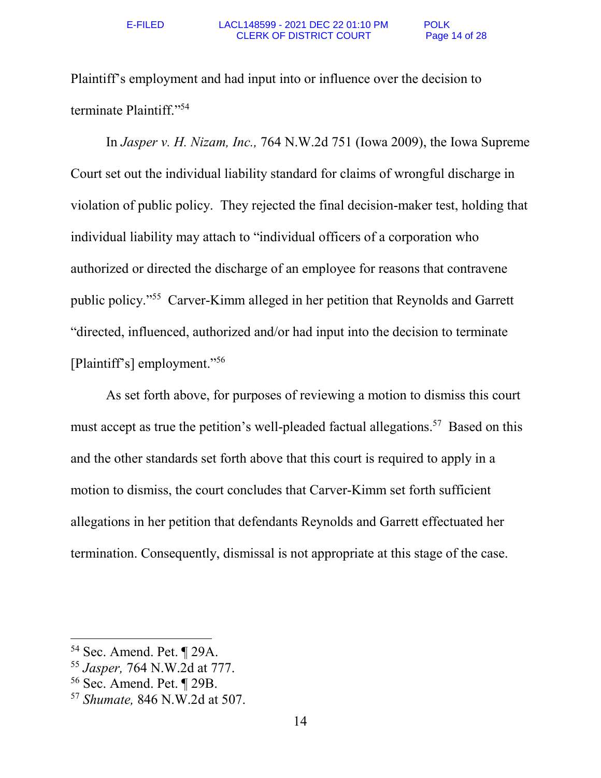Plaintiff's employment and had input into or influence over the decision to terminate Plaintiff."<sup>54</sup>

In *Jasper v. H. Nizam, Inc.,* 764 N.W.2d 751 (Iowa 2009), the Iowa Supreme Court set out the individual liability standard for claims of wrongful discharge in violation of public policy. They rejected the final decision-maker test, holding that individual liability may attach to "individual officers of a corporation who authorized or directed the discharge of an employee for reasons that contravene public policy."<sup>55</sup> Carver-Kimm alleged in her petition that Reynolds and Garrett "directed, influenced, authorized and/or had input into the decision to terminate [Plaintiff's] employment."<sup>56</sup>

 As set forth above, for purposes of reviewing a motion to dismiss this court must accept as true the petition's well-pleaded factual allegations.<sup>57</sup> Based on this and the other standards set forth above that this court is required to apply in a motion to dismiss, the court concludes that Carver-Kimm set forth sufficient allegations in her petition that defendants Reynolds and Garrett effectuated her termination. Consequently, dismissal is not appropriate at this stage of the case.

<sup>54</sup> Sec. Amend. Pet. ¶ 29A.

<sup>55</sup> *Jasper,* 764 N.W.2d at 777.

<sup>56</sup> Sec. Amend. Pet. ¶ 29B.

<sup>57</sup> *Shumate,* 846 N.W.2d at 507.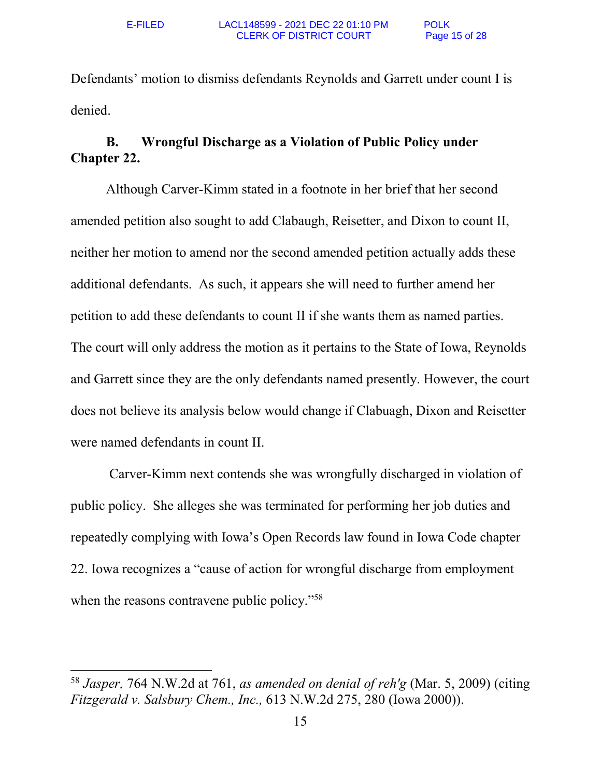$\overline{a}$ 

Defendants' motion to dismiss defendants Reynolds and Garrett under count I is denied.

# **B. Wrongful Discharge as a Violation of Public Policy under Chapter 22.**

Although Carver-Kimm stated in a footnote in her brief that her second amended petition also sought to add Clabaugh, Reisetter, and Dixon to count II, neither her motion to amend nor the second amended petition actually adds these additional defendants. As such, it appears she will need to further amend her petition to add these defendants to count II if she wants them as named parties. The court will only address the motion as it pertains to the State of Iowa, Reynolds and Garrett since they are the only defendants named presently. However, the court does not believe its analysis below would change if Clabuagh, Dixon and Reisetter were named defendants in count II.

 Carver-Kimm next contends she was wrongfully discharged in violation of public policy. She alleges she was terminated for performing her job duties and repeatedly complying with Iowa's Open Records law found in Iowa Code chapter 22. Iowa recognizes a "cause of action for wrongful discharge from employment when the reasons contravene public policy."<sup>58</sup>

<sup>58</sup> *Jasper,* 764 N.W.2d at 761, *as amended on denial of reh'g* (Mar. 5, 2009) (citing *Fitzgerald v. Salsbury Chem., Inc.,* 613 N.W.2d 275, 280 (Iowa 2000)).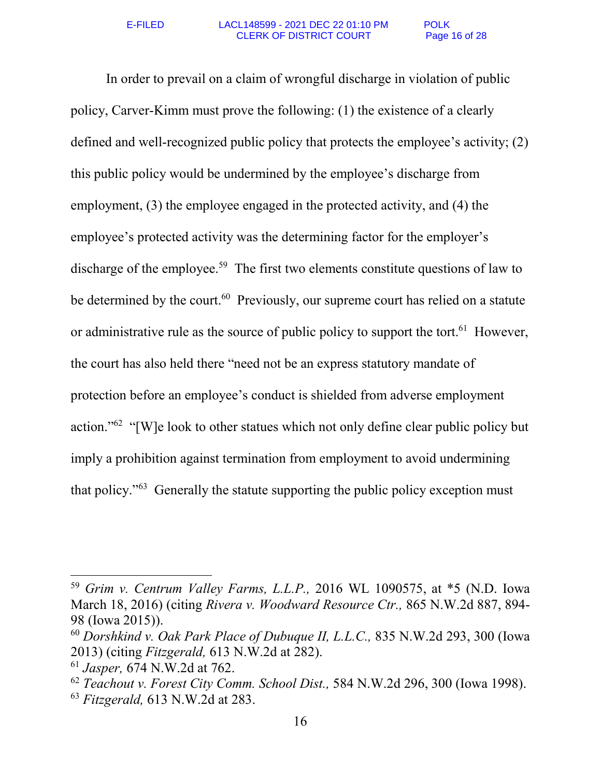### E-FILED LACL148599 - 2021 DEC 22 01:10 PM POLK CLERK OF DISTRICT COURT Page 16 of 28

In order to prevail on a claim of wrongful discharge in violation of public policy, Carver-Kimm must prove the following: (1) the existence of a clearly defined and well-recognized public policy that protects the employee's activity; (2) this public policy would be undermined by the employee's discharge from employment, (3) the employee engaged in the protected activity, and (4) the employee's protected activity was the determining factor for the employer's discharge of the employee.<sup>59</sup> The first two elements constitute questions of law to be determined by the court. $60$  Previously, our supreme court has relied on a statute or administrative rule as the source of public policy to support the tort.<sup>61</sup> However, the court has also held there "need not be an express statutory mandate of protection before an employee's conduct is shielded from adverse employment action."<sup>62</sup> "[W]e look to other statues which not only define clear public policy but imply a prohibition against termination from employment to avoid undermining that policy."<sup>63</sup> Generally the statute supporting the public policy exception must

l

<sup>59</sup> *Grim v. Centrum Valley Farms, L.L.P.,* 2016 WL 1090575, at \*5 (N.D. Iowa March 18, 2016) (citing *Rivera v. Woodward Resource Ctr.,* 865 N.W.2d 887, 894- 98 (Iowa 2015)).

<sup>60</sup> *Dorshkind v. Oak Park Place of Dubuque II, L.L.C.,* 835 N.W.2d 293, 300 (Iowa 2013) (citing *Fitzgerald,* 613 N.W.2d at 282).

<sup>61</sup> *Jasper,* 674 N.W.2d at 762.

<sup>62</sup> *Teachout v. Forest City Comm. School Dist.,* 584 N.W.2d 296, 300 (Iowa 1998).

<sup>63</sup> *Fitzgerald,* 613 N.W.2d at 283.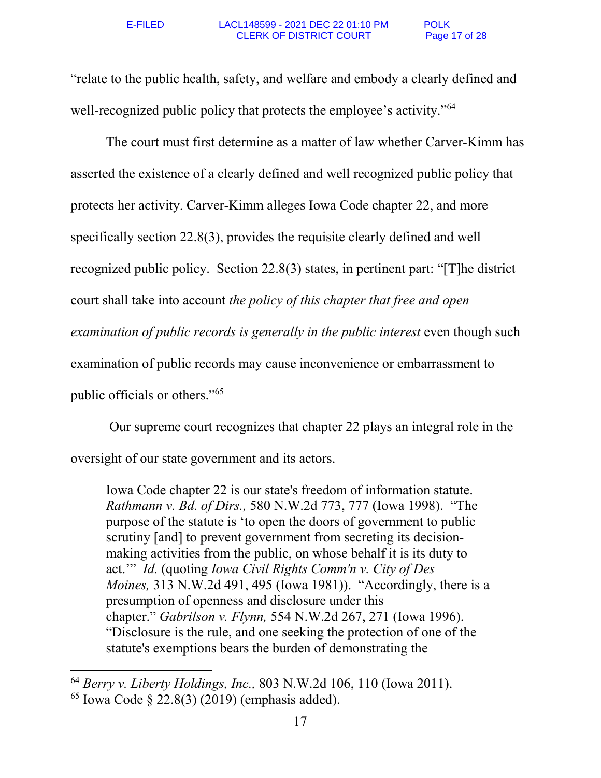#### E-FILED LACL148599 - 2021 DEC 22 01:10 PM POLK CLERK OF DISTRICT COURT Page 17 of 28

"relate to the public health, safety, and welfare and embody a clearly defined and well-recognized public policy that protects the employee's activity."<sup>64</sup>

The court must first determine as a matter of law whether Carver-Kimm has asserted the existence of a clearly defined and well recognized public policy that protects her activity. Carver-Kimm alleges Iowa Code chapter 22, and more specifically section 22.8(3), provides the requisite clearly defined and well recognized public policy. Section 22.8(3) states, in pertinent part: "[T]he district court shall take into account *the policy of this chapter that free and open examination of public records is generally in the public interest* even though such examination of public records may cause inconvenience or embarrassment to public officials or others."<sup>65</sup>

 Our supreme court recognizes that chapter 22 plays an integral role in the oversight of our state government and its actors.

Iowa Code chapter 22 is our state's freedom of information statute. *Rathmann v. Bd. of Dirs.,* 580 N.W.2d 773, 777 (Iowa 1998). "The purpose of the statute is 'to open the doors of government to public scrutiny [and] to prevent government from secreting its decisionmaking activities from the public, on whose behalf it is its duty to act.'" *Id.* (quoting *Iowa Civil Rights Comm'n v. City of Des Moines,* 313 N.W.2d 491, 495 (Iowa 1981)). "Accordingly, there is a presumption of openness and disclosure under this chapter." *Gabrilson v. Flynn,* 554 N.W.2d 267, 271 (Iowa 1996). "Disclosure is the rule, and one seeking the protection of one of the statute's exemptions bears the burden of demonstrating the

<sup>64</sup> *Berry v. Liberty Holdings, Inc.,* 803 N.W.2d 106, 110 (Iowa 2011).

 $65$  Iowa Code  $\S$  22.8(3) (2019) (emphasis added).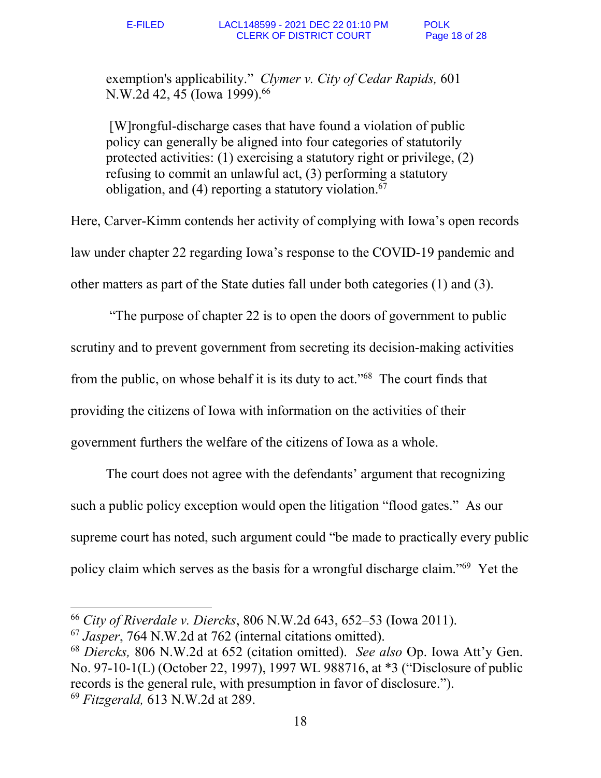exemption's applicability." *Clymer v. City of Cedar Rapids,* 601 N.W.2d 42, 45 (Iowa 1999).<sup>66</sup>

 [W]rongful-discharge cases that have found a violation of public policy can generally be aligned into four categories of statutorily protected activities: (1) exercising a statutory right or privilege, (2) refusing to commit an unlawful act, (3) performing a statutory obligation, and (4) reporting a statutory violation. 67

Here, Carver-Kimm contends her activity of complying with Iowa's open records law under chapter 22 regarding Iowa's response to the COVID-19 pandemic and other matters as part of the State duties fall under both categories (1) and (3).

 "The purpose of chapter 22 is to open the doors of government to public scrutiny and to prevent government from secreting its decision-making activities from the public, on whose behalf it is its duty to act."<sup>68</sup> The court finds that providing the citizens of Iowa with information on the activities of their government furthers the welfare of the citizens of Iowa as a whole.

The court does not agree with the defendants' argument that recognizing such a public policy exception would open the litigation "flood gates." As our supreme court has noted, such argument could "be made to practically every public policy claim which serves as the basis for a wrongful discharge claim."<sup>69</sup> Yet the

<sup>66</sup> *City of Riverdale v. Diercks*, 806 N.W.2d 643, 652–53 (Iowa 2011).

<sup>67</sup> *Jasper*, 764 N.W.2d at 762 (internal citations omitted).

<sup>68</sup> *Diercks,* 806 N.W.2d at 652 (citation omitted). *See also* Op. Iowa Att'y Gen. No. 97-10-1(L) (October 22, 1997), 1997 WL 988716, at \*3 ("Disclosure of public records is the general rule, with presumption in favor of disclosure."). <sup>69</sup> *Fitzgerald,* 613 N.W.2d at 289.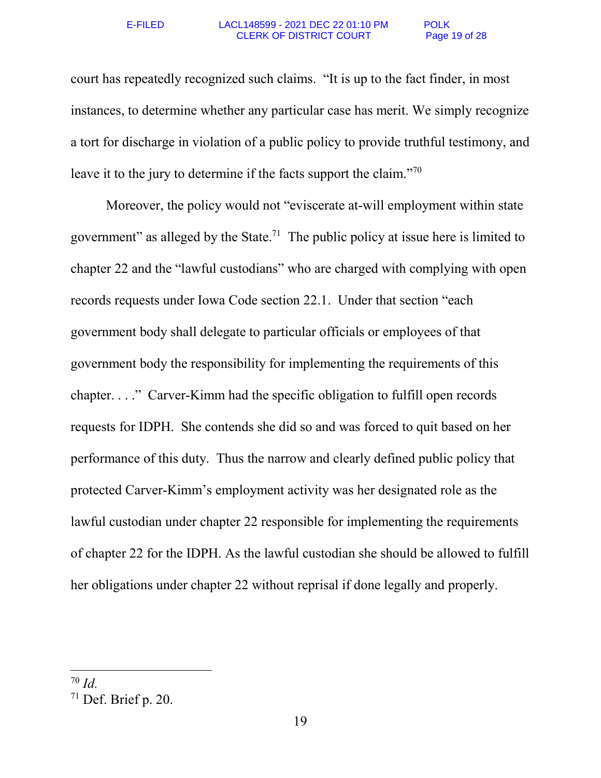#### E-FILED LACL148599 - 2021 DEC 22 01:10 PM POLK CLERK OF DISTRICT COURT Page 19 of 28

court has repeatedly recognized such claims. "It is up to the fact finder, in most instances, to determine whether any particular case has merit. We simply recognize a tort for discharge in violation of a public policy to provide truthful testimony, and leave it to the jury to determine if the facts support the claim."<sup>70</sup>

 Moreover, the policy would not "eviscerate at-will employment within state government" as alleged by the State.<sup>71</sup> The public policy at issue here is limited to chapter 22 and the "lawful custodians" who are charged with complying with open records requests under Iowa Code section 22.1. Under that section "each government body shall delegate to particular officials or employees of that government body the responsibility for implementing the requirements of this chapter. . . ." Carver-Kimm had the specific obligation to fulfill open records requests for IDPH. She contends she did so and was forced to quit based on her performance of this duty. Thus the narrow and clearly defined public policy that protected Carver-Kimm's employment activity was her designated role as the lawful custodian under chapter 22 responsible for implementing the requirements of chapter 22 for the IDPH. As the lawful custodian she should be allowed to fulfill her obligations under chapter 22 without reprisal if done legally and properly.

 $70$  *Id*.

<sup>71</sup> Def. Brief p. 20.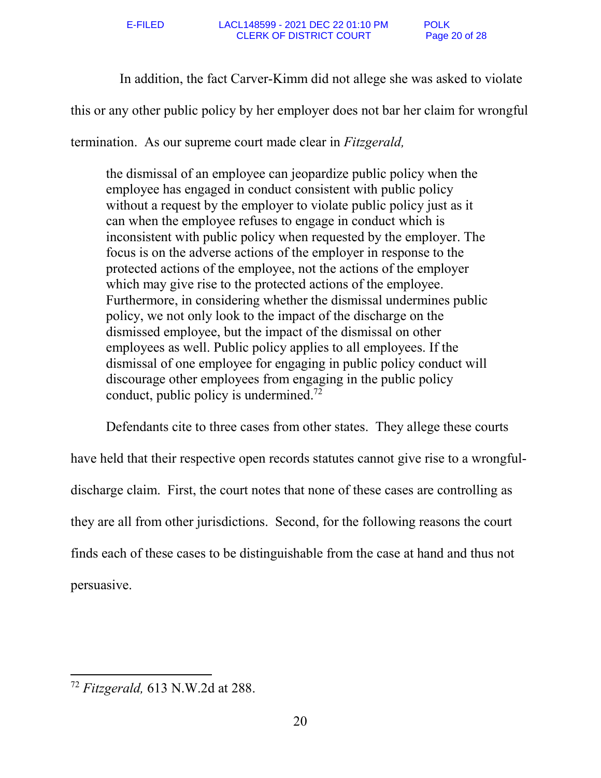In addition, the fact Carver-Kimm did not allege she was asked to violate

this or any other public policy by her employer does not bar her claim for wrongful

termination. As our supreme court made clear in *Fitzgerald,* 

the dismissal of an employee can jeopardize public policy when the employee has engaged in conduct consistent with public policy without a request by the employer to violate public policy just as it can when the employee refuses to engage in conduct which is inconsistent with public policy when requested by the employer. The focus is on the adverse actions of the employer in response to the protected actions of the employee, not the actions of the employer which may give rise to the protected actions of the employee. Furthermore, in considering whether the dismissal undermines public policy, we not only look to the impact of the discharge on the dismissed employee, but the impact of the dismissal on other employees as well. Public policy applies to all employees. If the dismissal of one employee for engaging in public policy conduct will discourage other employees from engaging in the public policy conduct, public policy is undermined.<sup>72</sup>

Defendants cite to three cases from other states. They allege these courts have held that their respective open records statutes cannot give rise to a wrongfuldischarge claim. First, the court notes that none of these cases are controlling as they are all from other jurisdictions. Second, for the following reasons the court finds each of these cases to be distinguishable from the case at hand and thus not persuasive.

<sup>72</sup> *Fitzgerald,* 613 N.W.2d at 288.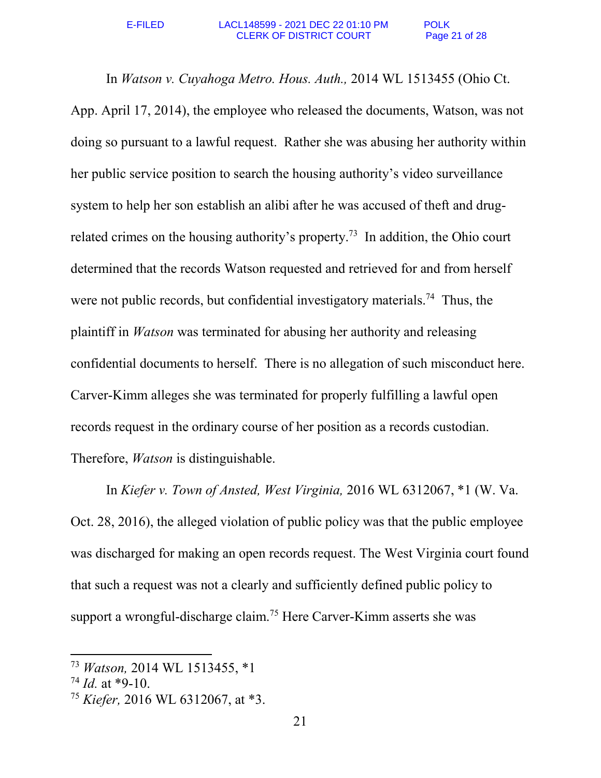In *Watson v. Cuyahoga Metro. Hous. Auth.,* 2014 WL 1513455 (Ohio Ct. App. April 17, 2014), the employee who released the documents, Watson, was not doing so pursuant to a lawful request. Rather she was abusing her authority within her public service position to search the housing authority's video surveillance system to help her son establish an alibi after he was accused of theft and drugrelated crimes on the housing authority's property.<sup>73</sup> In addition, the Ohio court determined that the records Watson requested and retrieved for and from herself were not public records, but confidential investigatory materials.<sup>74</sup> Thus, the plaintiff in *Watson* was terminated for abusing her authority and releasing confidential documents to herself. There is no allegation of such misconduct here. Carver-Kimm alleges she was terminated for properly fulfilling a lawful open records request in the ordinary course of her position as a records custodian. Therefore, *Watson* is distinguishable.

In *Kiefer v. Town of Ansted, West Virginia,* 2016 WL 6312067, \*1 (W. Va. Oct. 28, 2016), the alleged violation of public policy was that the public employee was discharged for making an open records request. The West Virginia court found that such a request was not a clearly and sufficiently defined public policy to support a wrongful-discharge claim.<sup>75</sup> Here Carver-Kimm asserts she was

<sup>73</sup> *Watson,* 2014 WL 1513455, \*1

 $74$  *Id.* at \*9-10.

<sup>75</sup> *Kiefer,* 2016 WL 6312067, at \*3.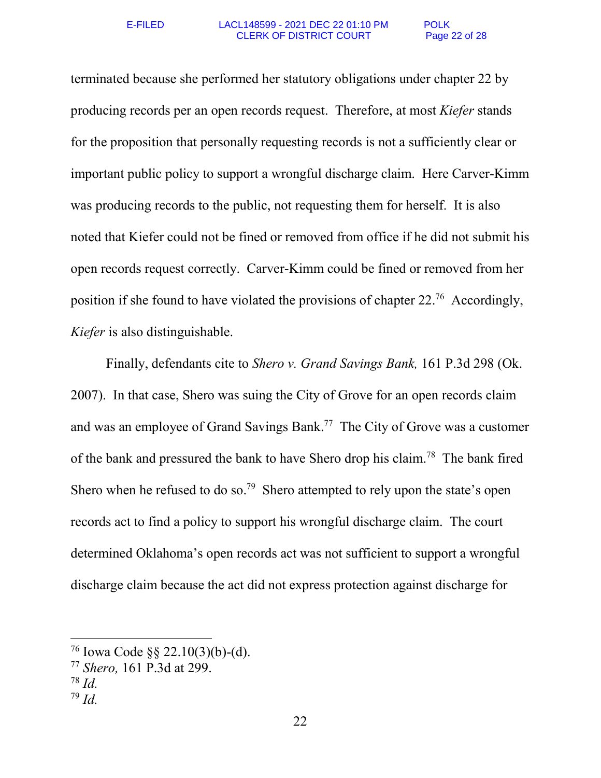terminated because she performed her statutory obligations under chapter 22 by producing records per an open records request. Therefore, at most *Kiefer* stands for the proposition that personally requesting records is not a sufficiently clear or important public policy to support a wrongful discharge claim. Here Carver-Kimm was producing records to the public, not requesting them for herself. It is also noted that Kiefer could not be fined or removed from office if he did not submit his open records request correctly. Carver-Kimm could be fined or removed from her position if she found to have violated the provisions of chapter 22.<sup>76</sup> Accordingly, *Kiefer* is also distinguishable.

Finally, defendants cite to *Shero v. Grand Savings Bank,* 161 P.3d 298 (Ok. 2007). In that case, Shero was suing the City of Grove for an open records claim and was an employee of Grand Savings Bank.<sup>77</sup> The City of Grove was a customer of the bank and pressured the bank to have Shero drop his claim.<sup>78</sup> The bank fired Shero when he refused to do so.<sup>79</sup> Shero attempted to rely upon the state's open records act to find a policy to support his wrongful discharge claim. The court determined Oklahoma's open records act was not sufficient to support a wrongful discharge claim because the act did not express protection against discharge for

<sup>76</sup> Iowa Code §§ 22.10(3)(b)-(d).

<sup>77</sup> *Shero,* 161 P.3d at 299.

<sup>78</sup> *Id.* 

 $^{79}$  *Id.*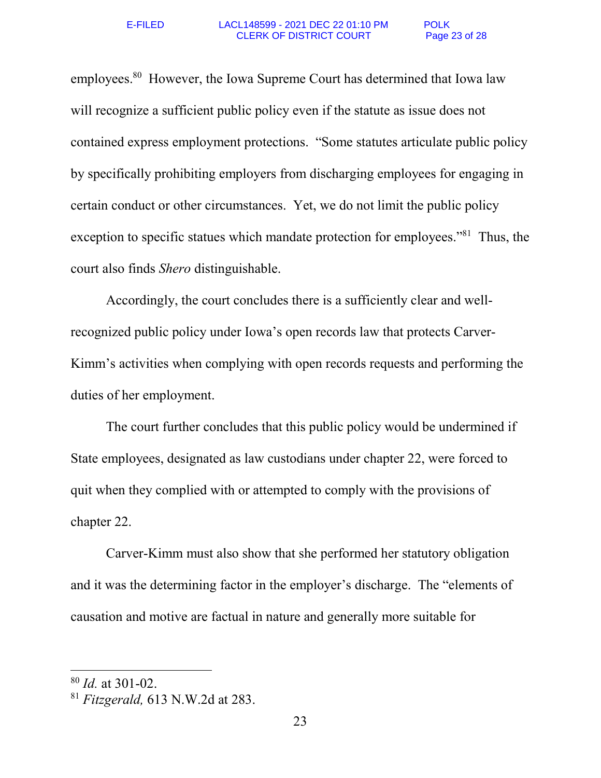employees.<sup>80</sup> However, the Iowa Supreme Court has determined that Iowa law will recognize a sufficient public policy even if the statute as issue does not contained express employment protections. "Some statutes articulate public policy by specifically prohibiting employers from discharging employees for engaging in certain conduct or other circumstances. Yet, we do not limit the public policy exception to specific statues which mandate protection for employees."<sup>81</sup> Thus, the court also finds *Shero* distinguishable.

Accordingly, the court concludes there is a sufficiently clear and wellrecognized public policy under Iowa's open records law that protects Carver-Kimm's activities when complying with open records requests and performing the duties of her employment.

The court further concludes that this public policy would be undermined if State employees, designated as law custodians under chapter 22, were forced to quit when they complied with or attempted to comply with the provisions of chapter 22.

Carver-Kimm must also show that she performed her statutory obligation and it was the determining factor in the employer's discharge. The "elements of causation and motive are factual in nature and generally more suitable for

<sup>80</sup> *Id.* at 301-02.

<sup>81</sup> *Fitzgerald,* 613 N.W.2d at 283.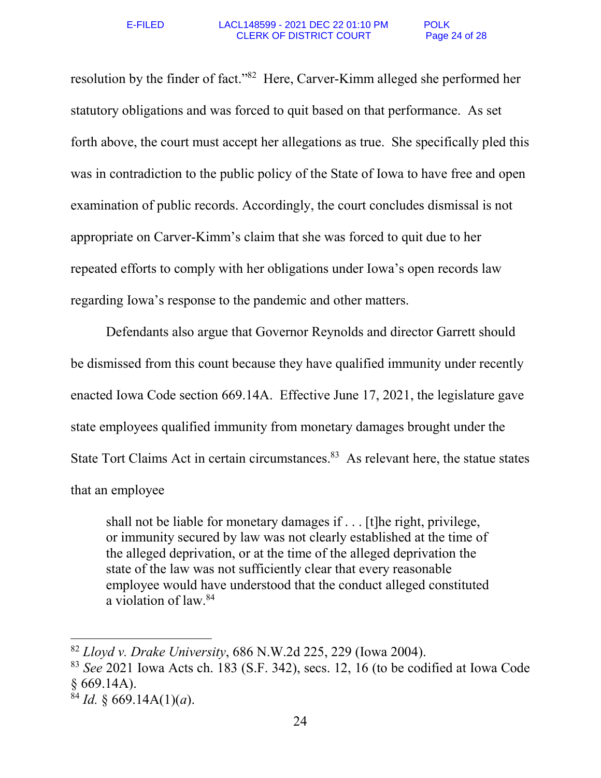resolution by the finder of fact."<sup>82</sup> Here, Carver-Kimm alleged she performed her statutory obligations and was forced to quit based on that performance. As set forth above, the court must accept her allegations as true. She specifically pled this was in contradiction to the public policy of the State of Iowa to have free and open examination of public records. Accordingly, the court concludes dismissal is not appropriate on Carver-Kimm's claim that she was forced to quit due to her repeated efforts to comply with her obligations under Iowa's open records law regarding Iowa's response to the pandemic and other matters.

 Defendants also argue that Governor Reynolds and director Garrett should be dismissed from this count because they have qualified immunity under recently enacted Iowa Code section 669.14A. Effective June 17, 2021, the legislature gave state employees qualified immunity from monetary damages brought under the State Tort Claims Act in certain circumstances.<sup>83</sup> As relevant here, the statue states that an employee

shall not be liable for monetary damages if . . . [t]he right, privilege, or immunity secured by law was not clearly established at the time of the alleged deprivation, or at the time of the alleged deprivation the state of the law was not sufficiently clear that every reasonable employee would have understood that the conduct alleged constituted a violation of law.<sup>84</sup>

<sup>82</sup> *Lloyd v. Drake University*, 686 N.W.2d 225, 229 (Iowa 2004).

<sup>83</sup> *See* 2021 Iowa Acts ch. 183 (S.F. 342), secs. 12, 16 (to be codified at Iowa Code § 669.14A).

 $84$  *Id.* § 669.14A(1)(*a*).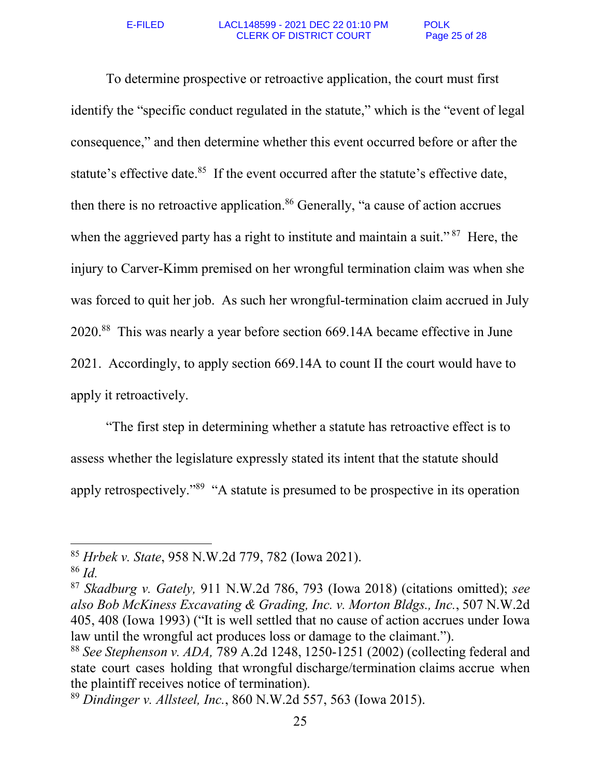To determine prospective or retroactive application, the court must first identify the "specific conduct regulated in the statute," which is the "event of legal consequence," and then determine whether this event occurred before or after the statute's effective date.<sup>85</sup> If the event occurred after the statute's effective date, then there is no retroactive application.<sup>86</sup> Generally, "a cause of action accrues when the aggrieved party has a right to institute and maintain a suit."<sup>87</sup> Here, the injury to Carver-Kimm premised on her wrongful termination claim was when she was forced to quit her job. As such her wrongful-termination claim accrued in July 2020.<sup>88</sup> This was nearly a year before section 669.14A became effective in June 2021. Accordingly, to apply section 669.14A to count II the court would have to apply it retroactively.

"The first step in determining whether a statute has retroactive effect is to assess whether the legislature expressly stated its intent that the statute should apply retrospectively."<sup>89</sup> "A statute is presumed to be prospective in its operation

l

<sup>85</sup> *Hrbek v. State*, 958 N.W.2d 779, 782 (Iowa 2021).

<sup>86</sup> *Id.*

<sup>87</sup> *Skadburg v. Gately,* 911 N.W.2d 786, 793 (Iowa 2018) (citations omitted); *see also Bob McKiness Excavating & Grading, Inc. v. Morton Bldgs., Inc.*, 507 N.W.2d 405, 408 (Iowa 1993) ("It is well settled that no cause of action accrues under Iowa law until the wrongful act produces loss or damage to the claimant.").

<sup>88</sup> *See Stephenson v. ADA,* 789 A.2d 1248, 1250-1251 (2002) (collecting federal and state court cases holding that wrongful discharge/termination claims accrue when the plaintiff receives notice of termination).

<sup>89</sup> *Dindinger v. Allsteel, Inc.*, 860 N.W.2d 557, 563 (Iowa 2015).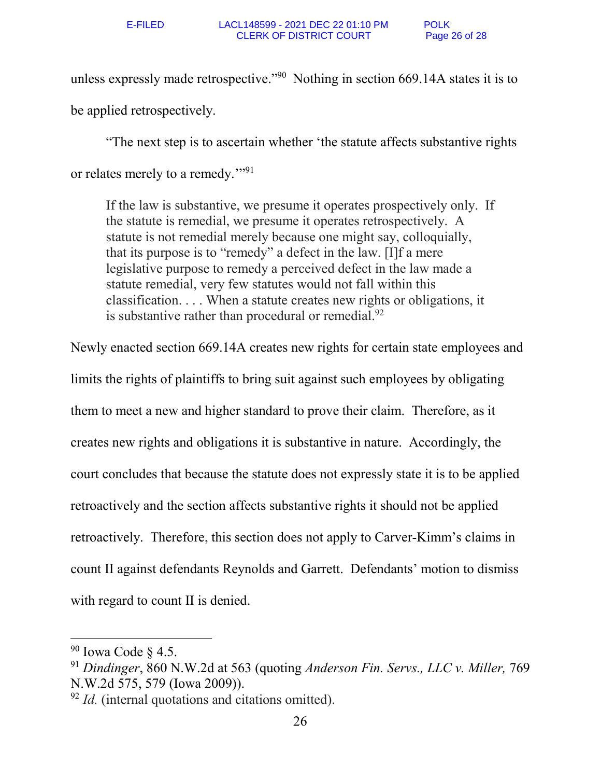unless expressly made retrospective."<sup>90</sup> Nothing in section 669.14A states it is to be applied retrospectively.

"The next step is to ascertain whether 'the statute affects substantive rights or relates merely to a remedy."<sup>91</sup>

If the law is substantive, we presume it operates prospectively only. If the statute is remedial, we presume it operates retrospectively. A statute is not remedial merely because one might say, colloquially, that its purpose is to "remedy" a defect in the law. [I]f a mere legislative purpose to remedy a perceived defect in the law made a statute remedial, very few statutes would not fall within this classification. . . . When a statute creates new rights or obligations, it is substantive rather than procedural or remedial. $92$ 

Newly enacted section 669.14A creates new rights for certain state employees and limits the rights of plaintiffs to bring suit against such employees by obligating them to meet a new and higher standard to prove their claim. Therefore, as it creates new rights and obligations it is substantive in nature. Accordingly, the court concludes that because the statute does not expressly state it is to be applied retroactively and the section affects substantive rights it should not be applied retroactively. Therefore, this section does not apply to Carver-Kimm's claims in count II against defendants Reynolds and Garrett. Defendants' motion to dismiss with regard to count II is denied.

 $90$  Iowa Code  $\S$  4.5.

<sup>91</sup> *Dindinger*, 860 N.W.2d at 563 (quoting *Anderson Fin. Servs., LLC v. Miller,* 769 N.W.2d 575, 579 (Iowa 2009)).

<sup>&</sup>lt;sup>92</sup> *Id.* (internal quotations and citations omitted).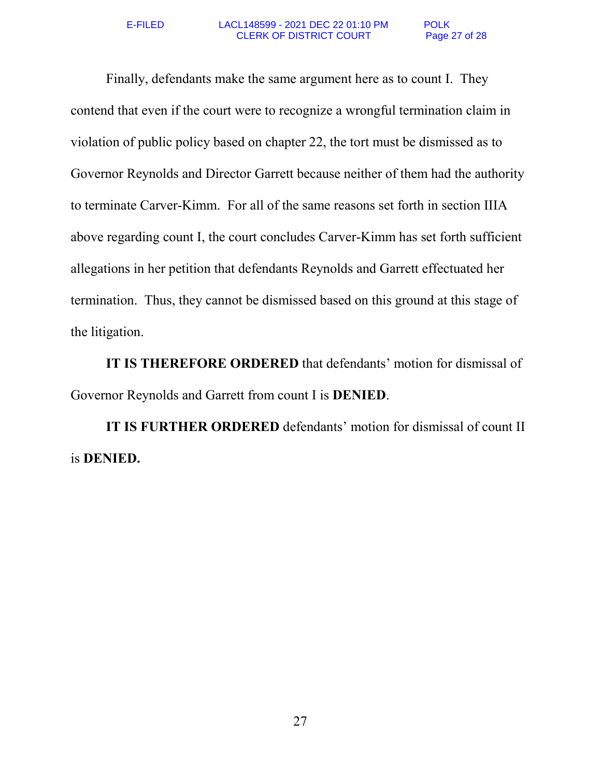Finally, defendants make the same argument here as to count I. They contend that even if the court were to recognize a wrongful termination claim in violation of public policy based on chapter 22, the tort must be dismissed as to Governor Reynolds and Director Garrett because neither of them had the authority to terminate Carver-Kimm. For all of the same reasons set forth in section IIIA above regarding count I, the court concludes Carver-Kimm has set forth sufficient allegations in her petition that defendants Reynolds and Garrett effectuated her termination. Thus, they cannot be dismissed based on this ground at this stage of the litigation.

**IT IS THEREFORE ORDERED** that defendants' motion for dismissal of Governor Reynolds and Garrett from count I is **DENIED**.

**IT IS FURTHER ORDERED** defendants' motion for dismissal of count II is **DENIED.**